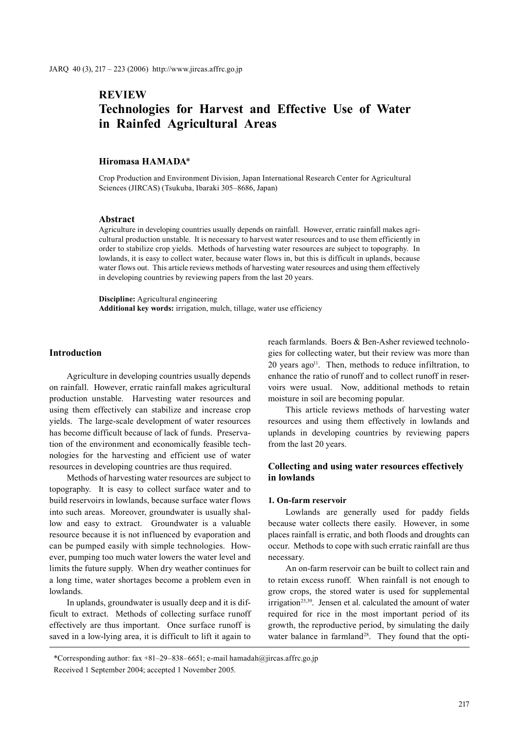# **REVIEW Technologies for Harvest and Effective Use of Water in Rainfed Agricultural Areas**

## **Hiromasa HAMADA**\*

Crop Production and Environment Division, Japan International Research Center for Agricultural Sciences (JIRCAS) (Tsukuba, Ibaraki 305–8686, Japan)

#### **Abstract**

Agriculture in developing countries usually depends on rainfall. However, erratic rainfall makes agricultural production unstable. It is necessary to harvest water resources and to use them efficiently in order to stabilize crop yields. Methods of harvesting water resources are subject to topography. In lowlands, it is easy to collect water, because water flows in, but this is difficult in uplands, because water flows out. This article reviews methods of harvesting water resources and using them effectively in developing countries by reviewing papers from the last 20 years.

**Discipline:** Agricultural engineering **Additional key words:** irrigation, mulch, tillage, water use efficiency

# **Introduction**

Agriculture in developing countries usually depends on rainfall. However, erratic rainfall makes agricultural production unstable. Harvesting water resources and using them effectively can stabilize and increase crop yields. The large-scale development of water resources has become difficult because of lack of funds. Preservation of the environment and economically feasible technologies for the harvesting and efficient use of water resources in developing countries are thus required.

Methods of harvesting water resources are subject to topography. It is easy to collect surface water and to build reservoirs in lowlands, because surface water flows into such areas. Moreover, groundwater is usually shallow and easy to extract. Groundwater is a valuable resource because it is not influenced by evaporation and can be pumped easily with simple technologies. However, pumping too much water lowers the water level and limits the future supply. When dry weather continues for a long time, water shortages become a problem even in lowlands.

In uplands, groundwater is usually deep and it is difficult to extract. Methods of collecting surface runoff effectively are thus important. Once surface runoff is saved in a low-lying area, it is difficult to lift it again to

reach farmlands. Boers & Ben-Asher reviewed technologies for collecting water, but their review was more than 20 years ago<sup>11</sup>. Then, methods to reduce infiltration, to enhance the ratio of runoff and to collect runoff in reservoirs were usual. Now, additional methods to retain moisture in soil are becoming popular.

This article reviews methods of harvesting water resources and using them effectively in lowlands and uplands in developing countries by reviewing papers from the last 20 years.

# **Collecting and using water resources effectively in lowlands**

#### **1. On-farm reservoir**

Lowlands are generally used for paddy fields because water collects there easily. However, in some places rainfall is erratic, and both floods and droughts can occur. Methods to cope with such erratic rainfall are thus necessary.

An on-farm reservoir can be built to collect rain and to retain excess runoff. When rainfall is not enough to grow crops, the stored water is used for supplemental irrigation<sup>25,39</sup>. Jensen et al. calculated the amount of water required for rice in the most important period of its growth, the reproductive period, by simulating the daily water balance in farmland<sup>28</sup>. They found that the opti-

\*Corresponding author: fax +81–29–838–6651; e-mail hamadah@jircas.affrc.go.jp Received 1 September 2004; accepted 1 November 2005.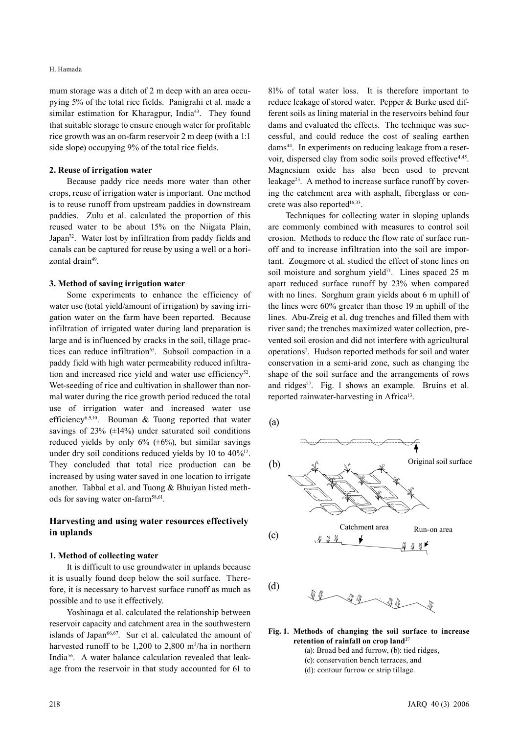#### H. Hamada

mum storage was a ditch of 2 m deep with an area occupying 5% of the total rice fields. Panigrahi et al. made a similar estimation for Kharagpur, India<sup>43</sup>. They found that suitable storage to ensure enough water for profitable rice growth was an on-farm reservoir 2 m deep (with a 1:1 side slope) occupying 9% of the total rice fields.

#### **2. Reuse of irrigation water**

Because paddy rice needs more water than other crops, reuse of irrigation water is important. One method is to reuse runoff from upstream paddies in downstream paddies. Zulu et al. calculated the proportion of this reused water to be about 15% on the Niigata Plain, Japan<sup>72</sup>. Water lost by infiltration from paddy fields and canals can be captured for reuse by using a well or a horizontal drain<sup>49</sup>.

#### **3. Method of saving irrigation water**

Some experiments to enhance the efficiency of water use (total yield/amount of irrigation) by saving irrigation water on the farm have been reported. Because infiltration of irrigated water during land preparation is large and is influenced by cracks in the soil, tillage practices can reduce infiltration<sup>65</sup>. Subsoil compaction in a paddy field with high water permeability reduced infiltration and increased rice yield and water use efficiency<sup>52</sup>. Wet-seeding of rice and cultivation in shallower than normal water during the rice growth period reduced the total use of irrigation water and increased water use efficiency<sup>6,9,10</sup>. Bouman & Tuong reported that water savings of  $23\%$  ( $\pm 14\%$ ) under saturated soil conditions reduced yields by only  $6\%$  ( $\pm 6\%$ ), but similar savings under dry soil conditions reduced yields by 10 to  $40\%^{12}$ . They concluded that total rice production can be increased by using water saved in one location to irrigate another. Tabbal et al. and Tuong & Bhuiyan listed methods for saving water on-farm<sup>58,61</sup>.

# **Harvesting and using water resources effectively in uplands**

#### **1. Method of collecting water**

It is difficult to use groundwater in uplands because it is usually found deep below the soil surface. Therefore, it is necessary to harvest surface runoff as much as possible and to use it effectively.

Yoshinaga et al. calculated the relationship between reservoir capacity and catchment area in the southwestern islands of Japan $66,67$ . Sur et al. calculated the amount of harvested runoff to be  $1,200$  to  $2,800$  m<sup>3</sup>/ha in northern India56. A water balance calculation revealed that leakage from the reservoir in that study accounted for 61 to

81% of total water loss. It is therefore important to reduce leakage of stored water. Pepper & Burke used different soils as lining material in the reservoirs behind four dams and evaluated the effects. The technique was successful, and could reduce the cost of sealing earthen dams<sup>44</sup>. In experiments on reducing leakage from a reservoir, dispersed clay from sodic soils proved effective<sup>4,45</sup>. Magnesium oxide has also been used to prevent leakage<sup>23</sup>. A method to increase surface runoff by covering the catchment area with asphalt, fiberglass or concrete was also reported<sup>16,33</sup>.

Techniques for collecting water in sloping uplands are commonly combined with measures to control soil erosion. Methods to reduce the flow rate of surface runoff and to increase infiltration into the soil are important. Zougmore et al. studied the effect of stone lines on soil moisture and sorghum yield $71$ . Lines spaced 25 m apart reduced surface runoff by 23% when compared with no lines. Sorghum grain yields about 6 m uphill of the lines were 60% greater than those 19 m uphill of the lines. Abu-Zreig et al. dug trenches and filled them with river sand; the trenches maximized water collection, prevented soil erosion and did not interfere with agricultural operations2 . Hudson reported methods for soil and water conservation in a semi-arid zone, such as changing the shape of the soil surface and the arrangements of rows and ridges $2^7$ . Fig. 1 shows an example. Bruins et al. reported rainwater-harvesting in Africa<sup>13</sup>.

(a)



- **Fig. 1. Methods of changing the soil surface to increase retention of rainfall on crop land27**
	- (a): Broad bed and furrow, (b): tied ridges,
	- (c): conservation bench terraces, and
	- (d): contour furrow or strip tillage.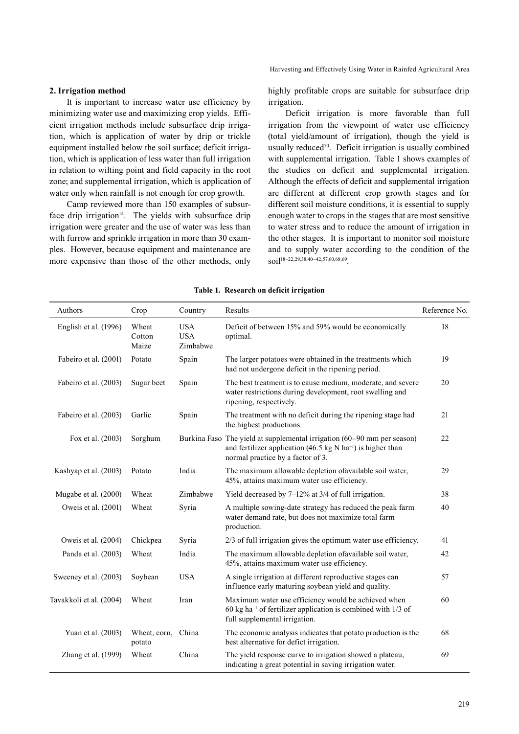Harvesting and Effectively Using Water in Rainfed Agricultural Area

## **2. Irrigation method**

It is important to increase water use efficiency by minimizing water use and maximizing crop yields. Efficient irrigation methods include subsurface drip irrigation, which is application of water by drip or trickle equipment installed below the soil surface; deficit irrigation, which is application of less water than full irrigation in relation to wilting point and field capacity in the root zone; and supplemental irrigation, which is application of water only when rainfall is not enough for crop growth.

Camp reviewed more than 150 examples of subsurface drip irrigation<sup>14</sup>. The yields with subsurface drip irrigation were greater and the use of water was less than with furrow and sprinkle irrigation in more than 30 examples. However, because equipment and maintenance are more expensive than those of the other methods, only

highly profitable crops are suitable for subsurface drip irrigation.

Deficit irrigation is more favorable than full irrigation from the viewpoint of water use efficiency (total yield/amount of irrigation), though the yield is usually reduced<sup>70</sup>. Deficit irrigation is usually combined with supplemental irrigation. Table 1 shows examples of the studies on deficit and supplemental irrigation. Although the effects of deficit and supplemental irrigation are different at different crop growth stages and for different soil moisture conditions, it is essential to supply enough water to crops in the stages that are most sensitive to water stress and to reduce the amount of irrigation in the other stages. It is important to monitor soil moisture and to supply water according to the condition of the soil18–22,29,38,40–42,57,60,68,69.

#### **Table 1. Research on deficit irrigation**

| Authors                 | Crop                     | Country                              | Results                                                                                                                                                                                 | Reference No. |
|-------------------------|--------------------------|--------------------------------------|-----------------------------------------------------------------------------------------------------------------------------------------------------------------------------------------|---------------|
| English et al. (1996)   | Wheat<br>Cotton<br>Maize | <b>USA</b><br><b>USA</b><br>Zimbabwe | Deficit of between 15% and 59% would be economically<br>optimal.                                                                                                                        | 18            |
| Fabeiro et al. (2001)   | Potato                   | Spain                                | The larger potatoes were obtained in the treatments which<br>had not undergone deficit in the ripening period.                                                                          | 19            |
| Fabeiro et al. (2003)   | Sugar beet               | Spain                                | The best treatment is to cause medium, moderate, and severe<br>water restrictions during development, root swelling and<br>ripening, respectively.                                      | 20            |
| Fabeiro et al. (2003)   | Garlic                   | Spain                                | The treatment with no deficit during the ripening stage had<br>the highest productions.                                                                                                 | 21            |
| Fox et al. (2003)       | Sorghum                  |                                      | Burkina Faso The yield at supplemental irrigation (60–90 mm per season)<br>and fertilizer application (46.5 kg N ha <sup>-1</sup> ) is higher than<br>normal practice by a factor of 3. | 22            |
| Kashyap et al. (2003)   | Potato                   | India                                | The maximum allowable depletion of available soil water,<br>45%, attains maximum water use efficiency.                                                                                  | 29            |
| Mugabe et al. (2000)    | Wheat                    | Zimbabwe                             | Yield decreased by $7-12\%$ at 3/4 of full irrigation.                                                                                                                                  | 38            |
| Oweis et al. (2001)     | Wheat                    | Syria                                | A multiple sowing-date strategy has reduced the peak farm<br>water demand rate, but does not maximize total farm<br>production.                                                         | 40            |
| Oweis et al. (2004)     | Chickpea                 | Syria                                | 2/3 of full irrigation gives the optimum water use efficiency.                                                                                                                          | 41            |
| Panda et al. (2003)     | Wheat                    | India                                | The maximum allowable depletion of available soil water,<br>45%, attains maximum water use efficiency.                                                                                  | 42            |
| Sweeney et al. (2003)   | Soybean                  | <b>USA</b>                           | A single irrigation at different reproductive stages can<br>influence early maturing soybean yield and quality.                                                                         | 57            |
| Tavakkoli et al. (2004) | Wheat                    | Iran                                 | Maximum water use efficiency would be achieved when<br>$60$ kg ha <sup>-1</sup> of fertilizer application is combined with $1/3$ of<br>full supplemental irrigation.                    | 60            |
| Yuan et al. (2003)      | Wheat, corn,<br>potato   | China                                | The economic analysis indicates that potato production is the<br>best alternative for defict irrigation.                                                                                | 68            |
| Zhang et al. (1999)     | Wheat                    | China                                | The yield response curve to irrigation showed a plateau,<br>indicating a great potential in saving irrigation water.                                                                    | 69            |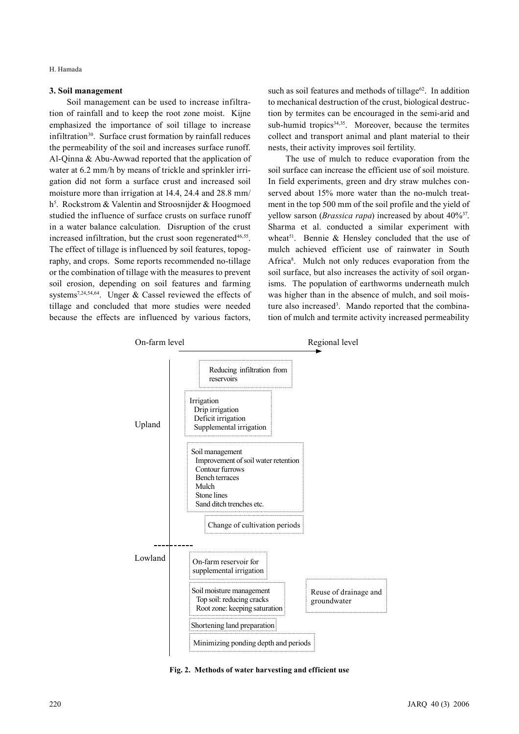H. Hamada

## **3. Soil management**

Soil management can be used to increase infiltration of rainfall and to keep the root zone moist. Kijne emphasized the importance of soil tillage to increase infiltration<sup>30</sup>. Surface crust formation by rainfall reduces the permeability of the soil and increases surface runoff. Al-Qinna & Abu-Awwad reported that the application of water at 6.2 mm/h by means of trickle and sprinkler irrigation did not form a surface crust and increased soil moisture more than irrigation at 14.4, 24.4 and 28.8 mm/ h<sup>5</sup>. Rockstrom & Valentin and Stroosnijder & Hoogmoed studied the influence of surface crusts on surface runoff in a water balance calculation. Disruption of the crust increased infiltration, but the crust soon regenerated $46,55$ . The effect of tillage is influenced by soil features, topography, and crops. Some reports recommended no-tillage or the combination of tillage with the measures to prevent soil erosion, depending on soil features and farming systems7,24,54,64. Unger & Cassel reviewed the effects of tillage and concluded that more studies were needed because the effects are influenced by various factors,

such as soil features and methods of tillage $62$ . In addition to mechanical destruction of the crust, biological destruction by termites can be encouraged in the semi-arid and sub-humid tropics<sup>34,35</sup>. Moreover, because the termites collect and transport animal and plant material to their nests, their activity improves soil fertility.

The use of mulch to reduce evaporation from the soil surface can increase the efficient use of soil moisture. In field experiments, green and dry straw mulches conserved about 15% more water than the no-mulch treatment in the top 500 mm of the soil profile and the yield of yellow sarson (*Brassica rapa*) increased by about  $40\frac{3}{7}$ . Sharma et al. conducted a similar experiment with wheat<sup>51</sup>. Bennie  $\&$  Hensley concluded that the use of mulch achieved efficient use of rainwater in South Africa<sup>8</sup>. Mulch not only reduces evaporation from the soil surface, but also increases the activity of soil organisms. The population of earthworms underneath mulch was higher than in the absence of mulch, and soil moisture also increased<sup>3</sup>. Mando reported that the combination of mulch and termite activity increased permeability



**Fig. 2. Methods of water harvesting and efficient use**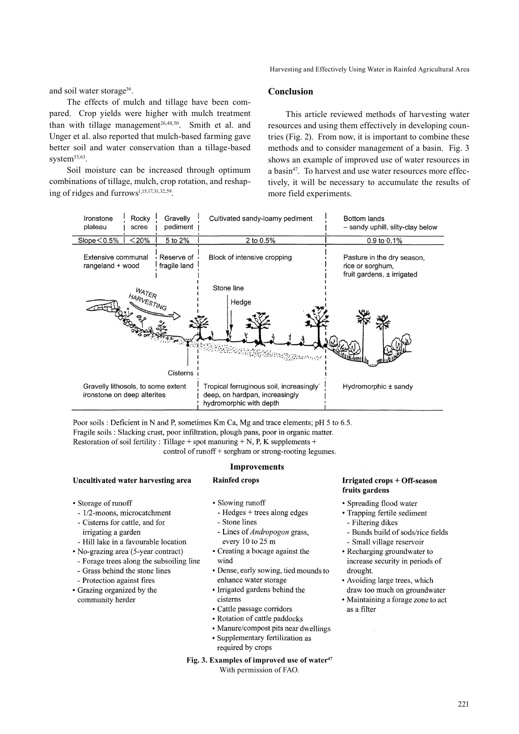Harvesting and Effectively Using Water in Rainfed Agricultural Area

and soil water storage<sup>36</sup>.

The effects of mulch and tillage have been compared. Crop yields were higher with mulch treatment than with tillage management<sup>26,48,50</sup>. Smith et al. and Unger et al. also reported that mulch-based farming gave better soil and water conservation than a tillage-based system $53,63$ .

Soil moisture can be increased through optimum combinations of tillage, mulch, crop rotation, and reshaping of ridges and furrows1,15,17,31,32,59.

## **Conclusion**

This article reviewed methods of harvesting water resources and using them effectively in developing countries (Fig. 2). From now, it is important to combine these methods and to consider management of a basin. Fig. 3 shows an example of improved use of water resources in a basin47. To harvest and use water resources more effectively, it will be necessary to accumulate the results of more field experiments.



Poor soils : Deficient in N and P, sometimes Km Ca, Mg and trace elements; pH 5 to 6.5. Fragile soils : Slacking crust, poor infiltration, plough pans, poor in organic matter. Restoration of soil fertility : Tillage + spot manuring + N, P, K supplements + control of runoff + sorghum or strong-rooting legumes.

**Improvements** 

#### Uncultivated water harvesting area

• Storage of runoff

- 1/2-moons, microcatchment
- Cisterns for cattle, and for irrigating a garden
- Hill lake in a favourable location
- No-grazing area (5-year contract)
- Forage trees along the subsoiling line
- Grass behind the stone lines
- Protection against fires
- Grazing organized by the community herder

· Slowing runoff

**Rainfed crops** 

- Hedges  $+$  trees along edges - Stone lines
- Lines of Andropogon grass, every 10 to 25 m
- Creating a bocage against the wind
	-
- Dense, early sowing, tied mounds to enhance water storage
- Irrigated gardens behind the cisterns
- Cattle passage corridors
- Rotation of cattle paddocks
- Manure/compost pits near dwellings
- Supplementary fertilization as required by crops

#### **Fig. 3. Examples of improved use of water47**

With permission of FAO.

#### **Irrigated crops + Off-season** fruits gardens

- · Spreading flood water
- Trapping fertile sediment
- Filtering dikes
- Bunds build of sods/rice fields
- Small village reservoir
- Recharging groundwater to increase security in periods of drought.
- Avoiding large trees, which draw too much on groundwater
- Maintaining a forage zone to act as a filter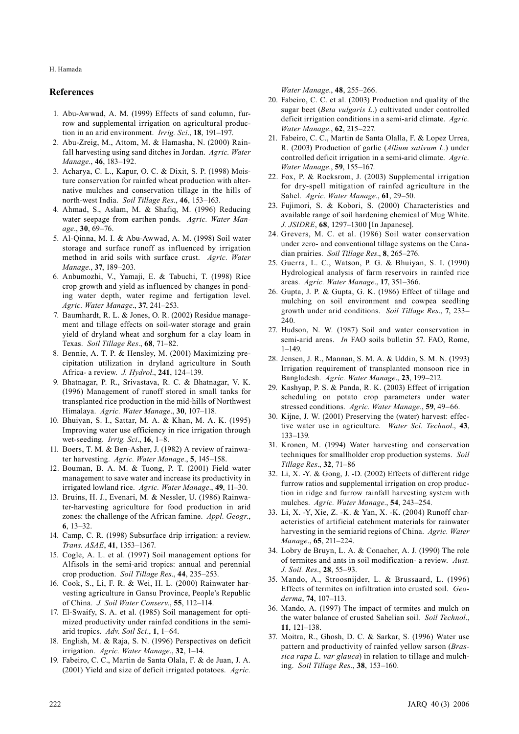H. Hamada

#### **References**

- 1. Abu-Awwad, A. M. (1999) Effects of sand column, furrow and supplemental irrigation on agricultural production in an arid environment. *Irrig. Sci*., **18**, 191–197.
- 2. Abu-Zreig, M., Attom, M. & Hamasha, N. (2000) Rainfall harvesting using sand ditches in Jordan. *Agric. Water Manage*., **46**, 183–192.
- 3. Acharya, C. L., Kapur, O. C. & Dixit, S. P. (1998) Moisture conservation for rainfed wheat production with alternative mulches and conservation tillage in the hills of north-west India. *Soil Tillage Res.*, **46**, 153–163.
- 4. Ahmad, S., Aslam, M. & Shafiq, M. (1996) Reducing water seepage from earthen ponds. *Agric. Water Manage*., **30**, 69–76.
- 5. Al-Qinna, M. I. & Abu-Awwad, A. M. (1998) Soil water storage and surface runoff as influenced by irrigation method in arid soils with surface crust. *Agric. Water Manage*., **37**, 189–203.
- 6. Anbumozhi, V., Yamaji, E. & Tabuchi, T. (1998) Rice crop growth and yield as influenced by changes in ponding water depth, water regime and fertigation level. *Agric. Water Manage*., **37**, 241–253.
- 7. Baumhardt, R. L. & Jones, O. R. (2002) Residue management and tillage effects on soil-water storage and grain yield of dryland wheat and sorghum for a clay loam in Texas. *Soil Tillage Res*., **68**, 71–82.
- 8. Bennie, A. T. P. & Hensley, M. (2001) Maximizing precipitation utilization in dryland agriculture in South Africa- a review. *J. Hydrol*., **241**, 124–139.
- 9. Bhatnagar, P. R., Srivastava, R. C. & Bhatnagar, V. K. (1996) Management of runoff stored in small tanks for transplanted rice production in the mid-hills of Northwest Himalaya. *Agric. Water Manage*., **30**, 107–118.
- 10. Bhuiyan, S. I., Sattar, M. A. & Khan, M. A. K. (1995) Improving water use efficiency in rice irrigation through wet-seeding. *Irrig. Sci*., **16**, 1–8.
- 11. Boers, T. M. & Ben-Asher, J. (1982) A review of rainwater harvesting. *Agric. Water Manage*., **5**, 145–158.
- 12. Bouman, B. A. M. & Tuong, P. T. (2001) Field water management to save water and increase its productivity in irrigated lowland rice. *Agric. Water Manage*., **49**, 11–30.
- 13. Bruins, H. J., Evenari, M. & Nessler, U. (1986) Rainwater-harvesting agriculture for food production in arid zones: the challenge of the African famine. *Appl. Geogr*., **6**, 13–32.
- 14. Camp, C. R. (1998) Subsurface drip irrigation: a review. *Trans. ASAE*, **41**, 1353–1367.
- 15. Cogle, A. L. et al. (1997) Soil management options for Alfisols in the semi-arid tropics: annual and perennial crop production. *Soil Tillage Res*., **44**, 235–253.
- 16. Cook, S., Li, F. R. & Wei, H. L. (2000) Rainwater harvesting agriculture in Gansu Province, People's Republic of China. *J. Soil Water Conserv*., **55**, 112–114.
- 17. El-Swaify, S. A. et al. (1985) Soil management for optimized productivity under rainfed conditions in the semiarid tropics. *Adv. Soil Sci*., **1**, 1–64.
- 18. English, M. & Raja, S. N. (1996) Perspectives on deficit irrigation. *Agric. Water Manage*., **32**, 1–14.
- 19. Fabeiro, C. C., Martin de Santa Olala, F. & de Juan, J. A. (2001) Yield and size of deficit irrigated potatoes. *Agric.*

*Water Manage*., **48**, 255–266.

- 20. Fabeiro, C. C. et al. (2003) Production and quality of the sugar beet (*Beta vulgaris L.*) cultivated under controlled deficit irrigation conditions in a semi-arid climate. *Agric. Water Manage*., **62**, 215–227.
- 21. Fabeiro, C. C., Martin de Santa Olalla, F. & Lopez Urrea, R. (2003) Production of garlic (*Allium sativum L.*) under controlled deficit irrigation in a semi-arid climate. *Agric. Water Manage*., **59**, 155–167.
- 22. Fox, P. & Rocksrom, J. (2003) Supplemental irrigation for dry-spell mitigation of rainfed agriculture in the Sahel. *Agric. Water Manage*., **61**, 29–50.
- 23. Fujimori, S. & Kobori, S. (2000) Characteristics and available range of soil hardening chemical of Mug White. *J. JSIDRE*, **68**, 1297–1300 [In Japanese].
- 24. Grevers, M. C. et al. (1986) Soil water conservation under zero- and conventional tillage systems on the Canadian prairies. *Soil Tillage Res*., **8**, 265–276.
- 25. Guerra, L. C., Watson, P. G. & Bhuiyan, S. I. (1990) Hydrological analysis of farm reservoirs in rainfed rice areas. *Agric. Water Manage*., **17**, 351–366.
- 26. Gupta, J. P. & Gupta, G. K. (1986) Effect of tillage and mulching on soil environment and cowpea seedling growth under arid conditions. *Soil Tillage Res*., **7**, 233– 240.
- 27. Hudson, N. W. (1987) Soil and water conservation in semi-arid areas. *In* FAO soils bulletin 57. FAO, Rome, 1–149.
- 28. Jensen, J. R., Mannan, S. M. A. & Uddin, S. M. N. (1993) Irrigation requirement of transplanted monsoon rice in Bangladesh. *Agric. Water Manage*., **23**, 199–212.
- 29. Kashyap, P. S. & Panda, R. K. (2003) Effect of irrigation scheduling on potato crop parameters under water stressed conditions. *Agric. Water Manage*., **59**, 49–66.
- 30. Kijne, J. W. (2001) Preserving the (water) harvest: effective water use in agriculture. *Water Sci. Technol*., **43**, 133–139.
- 31. Kronen, M. (1994) Water harvesting and conservation techniques for smallholder crop production systems. *Soil Tillage Res*., **32**, 71–86
- 32. Li, X. -Y. & Gong, J. -D. (2002) Effects of different ridge furrow ratios and supplemental irrigation on crop production in ridge and furrow rainfall harvesting system with mulches. *Agric. Water Manage*., **54**, 243–254.
- 33. Li, X. -Y, Xie, Z. -K. & Yan, X. -K. (2004) Runoff characteristics of artificial catchment materials for rainwater harvesting in the semiarid regions of China. *Agric. Water Manage*., **65**, 211–224.
- 34. Lobry de Bruyn, L. A. & Conacher, A. J. (1990) The role of termites and ants in soil modification- a review. *Aust. J. Soil. Res*., **28**, 55–93.
- 35. Mando, A., Stroosnijder, L. & Brussaard, L. (1996) Effects of termites on infiltration into crusted soil. *Geoderma*, **74**, 107–113.
- 36. Mando, A. (1997) The impact of termites and mulch on the water balance of crusted Sahelian soil. *Soil Technol*., **11**, 121–138.
- 37. Moitra, R., Ghosh, D. C. & Sarkar, S. (1996) Water use pattern and productivity of rainfed yellow sarson (*Brassica rapa L. var glauca*) in relation to tillage and mulching. *Soil Tillage Res*., **38**, 153–160.